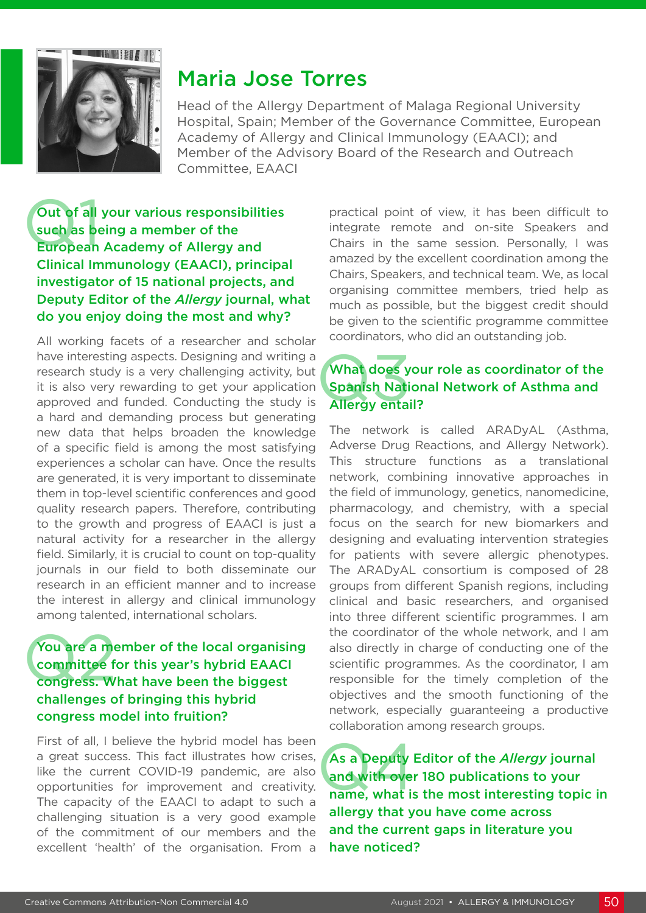

# Maria Jose Torres

Head of the Allergy Department of Malaga Regional University Hospital, Spain; Member of the Governance Committee, European Academy of Allergy and Clinical Immunology (EAACI); and Member of the Advisory Board of the Research and Outreach Committee, EAACI

### Out of all your various responsibilities such as being a member of the European Academy of Allergy and Clinical Immunology (EAACI), principal investigator of 15 national projects, and Deputy Editor of the *Allergy* journal, what do you enjoy doing the most and why? Out of all<br>such as be<br>European

All working facets of a researcher and scholar have interesting aspects. Designing and writing a research study is a very challenging activity, but it is also very rewarding to get your application approved and funded. Conducting the study is a hard and demanding process but generating new data that helps broaden the knowledge of a specific field is among the most satisfying experiences a scholar can have. Once the results are generated, it is very important to disseminate them in top-level scientific conferences and good quality research papers. Therefore, contributing to the growth and progress of EAACI is just a natural activity for a researcher in the allergy field. Similarly, it is crucial to count on top-quality journals in our field to both disseminate our research in an efficient manner and to increase the interest in allergy and clinical immunology among talented, international scholars.

#### You are a member of the local organising committee for this year's hybrid EAACI congress. What have been the biggest challenges of bringing this hybrid congress model into fruition? You are a me<br>committee f

First of all, I believe the hybrid model has been a great success. This fact illustrates how crises, like the current COVID-19 pandemic, are also opportunities for improvement and creativity. The capacity of the EAACI to adapt to such a challenging situation is a very good example of the commitment of our members and the excellent 'health' of the organisation. From a

practical point of view, it has been difficult to integrate remote and on-site Speakers and Chairs in the same session. Personally, I was amazed by the excellent coordination among the Chairs, Speakers, and technical team. We, as local organising committee members, tried help as much as possible, but the biggest credit should be given to the scientific programme committee coordinators, who did an outstanding job.

### What does your role as coordinator of the Spanish National Network of Asthma and Allergy entail? What does y<br>Spanish Nati<br>Allergy entai

The network is called ARADyAL (Asthma, Adverse Drug Reactions, and Allergy Network). This structure functions as a translational network, combining innovative approaches in the field of immunology, genetics, nanomedicine, pharmacology, and chemistry, with a special focus on the search for new biomarkers and designing and evaluating intervention strategies for patients with severe allergic phenotypes. The ARADyAL consortium is composed of 28 groups from different Spanish regions, including clinical and basic researchers, and organised into three different scientific programmes. I am the coordinator of the whole network, and I am also directly in charge of conducting one of the scientific programmes. As the coordinator, I am responsible for the timely completion of the objectives and the smooth functioning of the network, especially guaranteeing a productive collaboration among research groups.

As a Deputy Editor of the *Allergy* journal and with over 180 publications to your name, what is the most interesting topic in allergy that you have come across and the current gaps in literature you have noticed? As a Deputy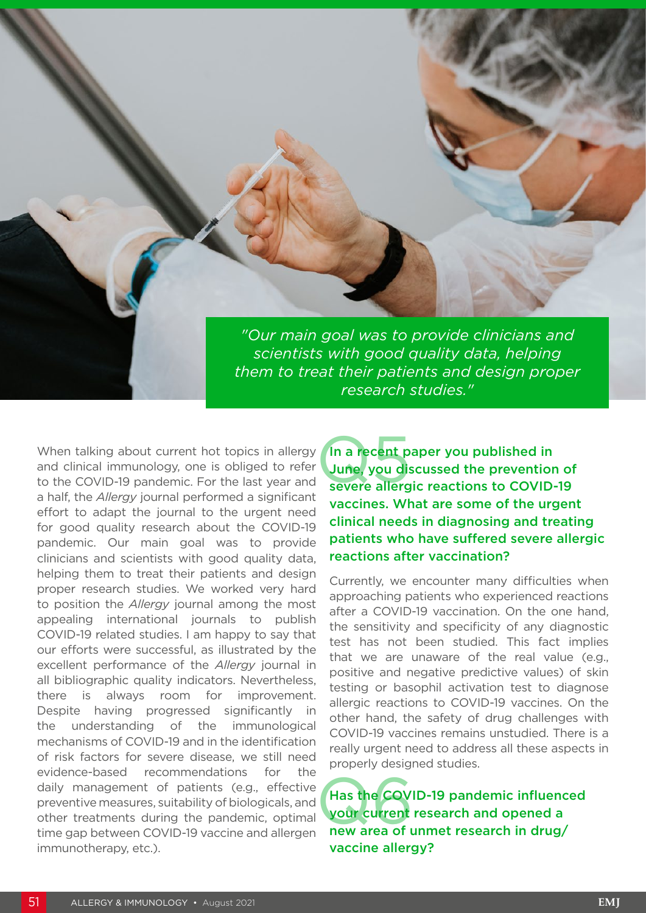

When talking about current hot topics in allergy and clinical immunology, one is obliged to refer to the COVID-19 pandemic. For the last year and a half, the *Allergy* journal performed a significant effort to adapt the journal to the urgent need for good quality research about the COVID-19 pandemic. Our main goal was to provide clinicians and scientists with good quality data, helping them to treat their patients and design proper research studies. We worked very hard to position the *Allergy* journal among the most appealing international journals to publish COVID-19 related studies. I am happy to say that our efforts were successful, as illustrated by the excellent performance of the *Allergy* journal in all bibliographic quality indicators. Nevertheless, there is always room for improvement. Despite having progressed significantly in the understanding of the immunological mechanisms of COVID-19 and in the identification of risk factors for severe disease, we still need evidence-based recommendations for the daily management of patients (e.g., effective preventive measures, suitability of biologicals, and other treatments during the pandemic, optimal time gap between COVID-19 vaccine and allergen immunotherapy, etc.).

In a recent p<br>June, you dis In a recent paper you published in June, you discussed the prevention of severe allergic reactions to COVID-19 vaccines. What are some of the urgent clinical needs in diagnosing and treating patients who have suffered severe allergic reactions after vaccination?

Currently, we encounter many difficulties when approaching patients who experienced reactions after a COVID-19 vaccination. On the one hand, the sensitivity and specificity of any diagnostic test has not been studied. This fact implies that we are unaware of the real value (e.g., positive and negative predictive values) of skin testing or basophil activation test to diagnose allergic reactions to COVID-19 vaccines. On the other hand, the safety of drug challenges with COVID-19 vaccines remains unstudied. There is a really urgent need to address all these aspects in properly designed studies.

Has the COV<br>your current<br>new area of u Has the COVID-19 pandemic influenced your current research and opened a new area of unmet research in drug/ vaccine allergy?